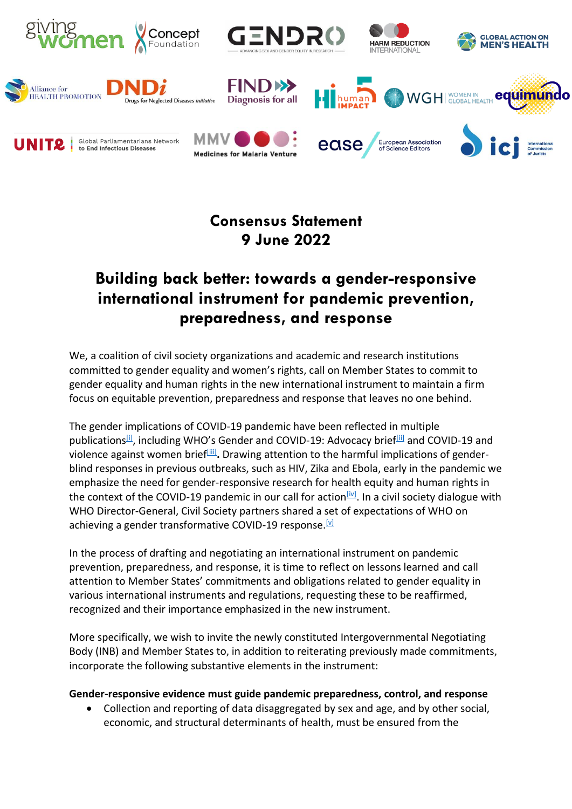

# **Consensus Statement 9 June 2022**

# **Building back better: towards a gender-responsive international instrument for pandemic prevention, preparedness, and response**

We, a coalition of civil society organizations and academic and research institutions committed to gender equality and women's rights, call on Member States to commit to gender equality and human rights in the new international instrument to maintain a firm focus on equitable prevention, preparedness and response that leaves no one behind.

The gender implications of COVID-19 pandemic have been reflected in multiple publications<sup>[\[i\]](http://applewebdata/898A34D6-63E3-4E09-92F2-C36D2B7FA0AB#_edn1)</sup>, including WHO's Gender and COVID-19: Advocacy brief<sup>[\[ii\]](http://applewebdata/898A34D6-63E3-4E09-92F2-C36D2B7FA0AB#_edn2)</sup> and COVID-19 and violence against women brief<sup>[\[iii\]](http://applewebdata/898A34D6-63E3-4E09-92F2-C36D2B7FA0AB#_edn3)</sup>. Drawing attention to the harmful implications of genderblind responses in previous outbreaks, such as HIV, Zika and Ebola, early in the pandemic we emphasize the need for gender-responsive research for health equity and human rights in the context of the COVID-19 pandemic in our call for action<sup>[\[iv\]](http://applewebdata/898A34D6-63E3-4E09-92F2-C36D2B7FA0AB#_edn4)</sup>. In a civil society dialogue with WHO Director-General, Civil Society partners shared a set of expectations of WHO on achieving a gender transformative COVID-19 response. [V]

In the process of drafting and negotiating an international instrument on pandemic prevention, preparedness, and response, it is time to reflect on lessons learned and call attention to Member States' commitments and obligations related to gender equality in various international instruments and regulations, requesting these to be reaffirmed, recognized and their importance emphasized in the new instrument.

More specifically, we wish to invite the newly constituted Intergovernmental Negotiating Body (INB) and Member States to, in addition to reiterating previously made commitments, incorporate the following substantive elements in the instrument:

### **Gender-responsive evidence must guide pandemic preparedness, control, and response**

• Collection and reporting of data disaggregated by sex and age, and by other social, economic, and structural determinants of health, must be ensured from the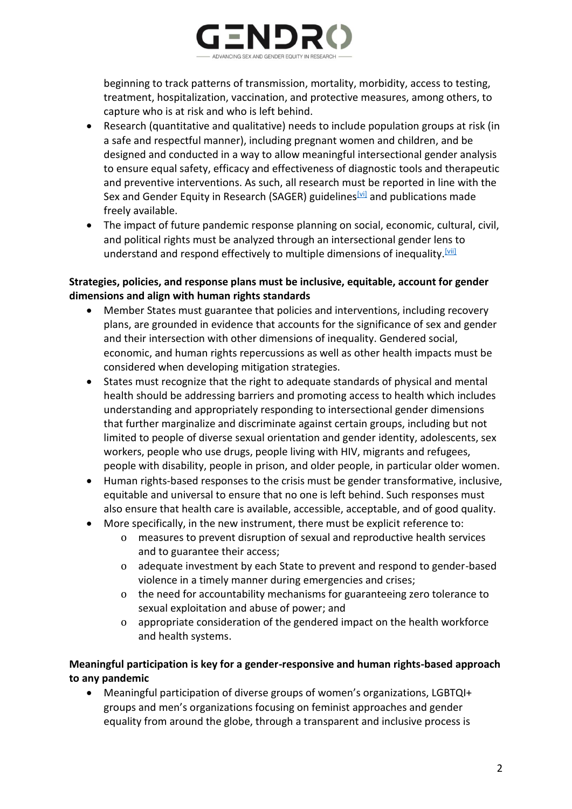

beginning to track patterns of transmission, mortality, morbidity, access to testing, treatment, hospitalization, vaccination, and protective measures, among others, to capture who is at risk and who is left behind.

- Research (quantitative and qualitative) needs to include population groups at risk (in a safe and respectful manner), including pregnant women and children, and be designed and conducted in a way to allow meaningful intersectional gender analysis to ensure equal safety, efficacy and effectiveness of diagnostic tools and therapeutic and preventive interventions. As such, all research must be reported in line with the Sex and Gender Equity in Research (SAGER) guidelines [\[vi\]](http://applewebdata/898A34D6-63E3-4E09-92F2-C36D2B7FA0AB#_edn6) and publications made freely available.
- The impact of future pandemic response planning on social, economic, cultural, civil, and political rights must be analyzed through an intersectional gender lens to understand and respond effectively to multiple dimensions of inequality.  $\frac{|\mathbf{v}\cdot\mathbf{v}|}{|\mathbf{v}|}$

### **Strategies, policies, and response plans must be inclusive, equitable, account for gender dimensions and align with human rights standards**

- Member States must guarantee that policies and interventions, including recovery plans, are grounded in evidence that accounts for the significance of sex and gender and their intersection with other dimensions of inequality. Gendered social, economic, and human rights repercussions as well as other health impacts must be considered when developing mitigation strategies.
- States must recognize that the right to adequate standards of physical and mental health should be addressing barriers and promoting access to health which includes understanding and appropriately responding to intersectional gender dimensions that further marginalize and discriminate against certain groups, including but not limited to people of diverse sexual orientation and gender identity, adolescents, sex workers, people who use drugs, people living with HIV, migrants and refugees, people with disability, people in prison, and older people, in particular older women.
- Human rights-based responses to the crisis must be gender transformative, inclusive, equitable and universal to ensure that no one is left behind. Such responses must also ensure that health care is available, accessible, acceptable, and of good quality.
- More specifically, in the new instrument, there must be explicit reference to:
	- o measures to prevent disruption of sexual and reproductive health services and to guarantee their access;
	- o adequate investment by each State to prevent and respond to gender-based violence in a timely manner during emergencies and crises;
	- o the need for accountability mechanisms for guaranteeing zero tolerance to sexual exploitation and abuse of power; and
	- o appropriate consideration of the gendered impact on the health workforce and health systems.

## **Meaningful participation is key for a gender-responsive and human rights-based approach to any pandemic**

• Meaningful participation of diverse groups of women's organizations, LGBTQI+ groups and men's organizations focusing on feminist approaches and gender equality from around the globe, through a transparent and inclusive process is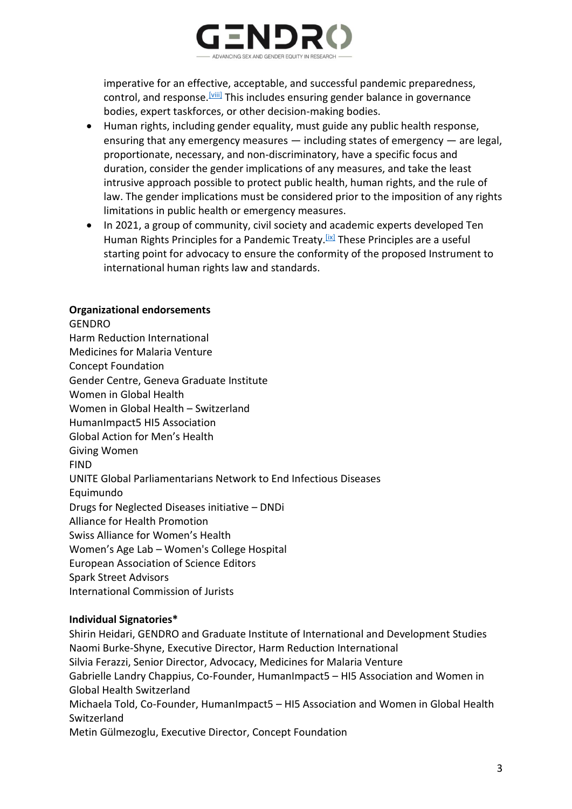

imperative for an effective, acceptable, and successful pandemic preparedness, control, and response.<sup>[\[viii\]](http://applewebdata/898A34D6-63E3-4E09-92F2-C36D2B7FA0AB#_edn8)</sup> This includes ensuring gender balance in governance bodies, expert taskforces, or other decision-making bodies.

- Human rights, including gender equality, must guide any public health response, ensuring that any emergency measures — including states of emergency — are legal, proportionate, necessary, and non-discriminatory, have a specific focus and duration, consider the gender implications of any measures, and take the least intrusive approach possible to protect public health, human rights, and the rule of law. The gender implications must be considered prior to the imposition of any rights limitations in public health or emergency measures.
- In 2021, a group of community, civil society and academic experts developed Ten Human Rights Principles for a Pandemic Treaty.<sup>[\[ix\]](http://applewebdata/898A34D6-63E3-4E09-92F2-C36D2B7FA0AB#_edn9)</sup> These Principles are a useful starting point for advocacy to ensure the conformity of the proposed Instrument to international human rights law and standards.

#### **Organizational endorsements**

**GENDRO** Harm Reduction International Medicines for Malaria Venture Concept Foundation Gender Centre, Geneva Graduate Institute Women in Global Health Women in Global Health – Switzerland HumanImpact5 HI5 Association Global Action for Men's Health Giving Women FIND UNITE Global Parliamentarians Network to End Infectious Diseases Equimundo Drugs for Neglected Diseases initiative – DNDi Alliance for Health Promotion Swiss Alliance for Women's Health Women's Age Lab – Women's College Hospital European Association of Science Editors Spark Street Advisors International Commission of Jurists

#### **Individual Signatories\***

Shirin Heidari, GENDRO and Graduate Institute of International and Development Studies Naomi Burke-Shyne, Executive Director, Harm Reduction International Silvia Ferazzi, Senior Director, Advocacy, Medicines for Malaria Venture Gabrielle Landry Chappius, Co-Founder, HumanImpact5 – HI5 Association and Women in Global Health Switzerland Michaela Told, Co-Founder, HumanImpact5 – HI5 Association and Women in Global Health Switzerland Metin Gülmezoglu, Executive Director, Concept Foundation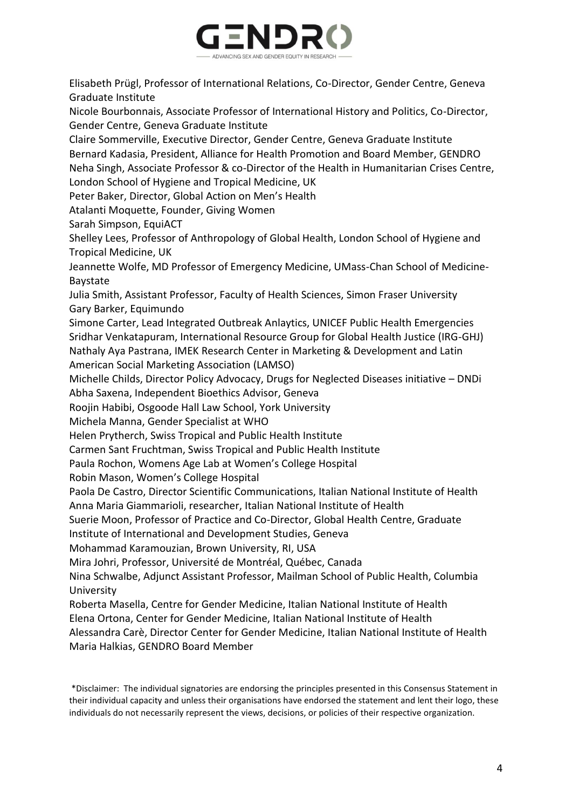

Elisabeth Prügl, Professor of International Relations, Co-Director, Gender Centre, Geneva Graduate Institute

Nicole Bourbonnais, Associate Professor of International History and Politics, Co-Director, Gender Centre, Geneva Graduate Institute

Claire Sommerville, Executive Director, Gender Centre, Geneva Graduate Institute Bernard Kadasia, President, Alliance for Health Promotion and Board Member, GENDRO Neha Singh, Associate Professor & co-Director of the Health in Humanitarian Crises Centre, London School of Hygiene and Tropical Medicine, UK

Peter Baker, Director, Global Action on Men's Health

Atalanti Moquette, Founder, Giving Women

Sarah Simpson, EquiACT

Shelley Lees, Professor of Anthropology of Global Health, London School of Hygiene and Tropical Medicine, UK

Jeannette Wolfe, MD Professor of Emergency Medicine, UMass-Chan School of Medicine-Baystate

Julia Smith, Assistant Professor, Faculty of Health Sciences, Simon Fraser University Gary Barker, Equimundo

Simone Carter, Lead Integrated Outbreak Anlaytics, UNICEF Public Health Emergencies Sridhar Venkatapuram, International Resource Group for Global Health Justice (IRG-GHJ) Nathaly Aya Pastrana, IMEK Research Center in Marketing & Development and Latin American Social Marketing Association (LAMSO)

Michelle Childs, Director Policy Advocacy, Drugs for Neglected Diseases initiative – DNDi

Abha Saxena, Independent Bioethics Advisor, Geneva

Roojin Habibi, Osgoode Hall Law School, York University

Michela Manna, Gender Specialist at WHO

Helen Prytherch, Swiss Tropical and Public Health Institute

Carmen Sant Fruchtman, Swiss Tropical and Public Health Institute

Paula Rochon, Womens Age Lab at Women's College Hospital

Robin Mason, Women's College Hospital

Paola De Castro, Director Scientific Communications, Italian National Institute of Health Anna Maria Giammarioli, researcher, Italian National Institute of Health

Suerie Moon, Professor of Practice and Co-Director, Global Health Centre, Graduate

Institute of International and Development Studies, Geneva

Mohammad Karamouzian, Brown University, RI, USA

Mira Johri, Professor, Université de Montréal, Québec, Canada

Nina Schwalbe, Adjunct Assistant Professor, Mailman School of Public Health, Columbia University

Roberta Masella, Centre for Gender Medicine, Italian National Institute of Health

Elena Ortona, Center for Gender Medicine, Italian National Institute of Health

Alessandra Carè, Director Center for Gender Medicine, Italian National Institute of Health Maria Halkias, GENDRO Board Member

\*Disclaimer: The individual signatories are endorsing the principles presented in this Consensus Statement in their individual capacity and unless their organisations have endorsed the statement and lent their logo, these individuals do not necessarily represent the views, decisions, or policies of their respective organization.